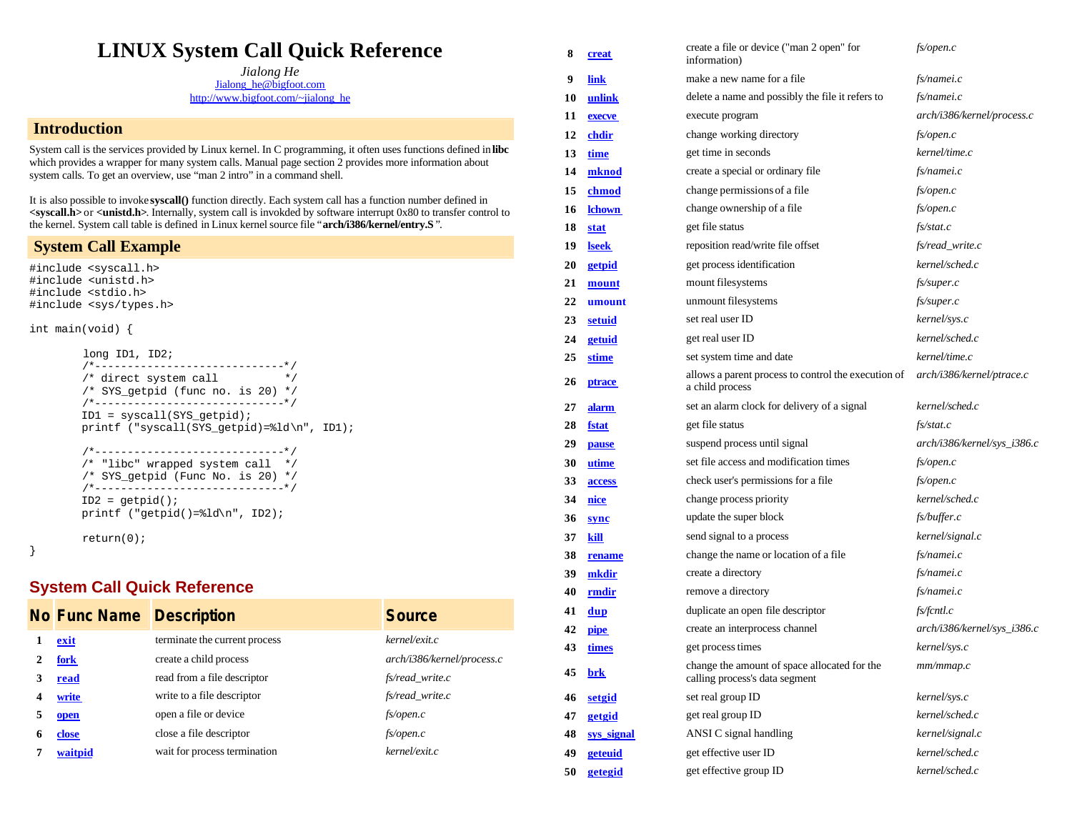## **LINUX System Call Quick Reference**

*Jialong He* Jialong\_he@bigfoot.com http://www.bigfoot.com/~jialong\_he

## **Introduction**

System call is the services provided by Linux kernel. In C programming, it often uses functions defined in **libc** which provides a wrapper for many system calls. Manual page section 2 provides more information about system calls. To get an overview, use "man 2 intro" in a command shell.

It is also possible to invoke **syscall()** function directly. Each system call has a function number defined in **<syscall.h>** or **<unistd.h>**. Internally, system call is invokded by software interrupt 0x80 to transfer control to the kernel. System call table is defined in Linux kernel source file "**arch/i386/kernel/entry.S** ".

## **System Call Example**

#include <syscall.h> #include <unistd.h> #include <stdio.h> #include <sys/types.h>

int main(void) {

```
 long ID1, ID2;
 /*-----------------------------*/
/* direct system call * /* SYS_getpid (func no. is 20) */
 /*-----------------------------*/
 ID1 = syscall(SYS_getpid);
 printf ("syscall(SYS_getpid)=%ld\n", ID1);
 /*-----------------------------*/
 /* "libc" wrapped system call */
 /* SYS_getpid (Func No. is 20) */
 /*-----------------------------*/
ID2 = getpid();
 printf ("getpid()=%ld\n", ID2);
```
return(0);

}

## **System Call Quick Reference**

|   | <b>No Func Name Description</b> |                               | <b>Source</b>              |
|---|---------------------------------|-------------------------------|----------------------------|
|   | exit                            | terminate the current process | kernel/exit.c              |
|   | fork                            | create a child process        | arch/i386/kernel/process.c |
|   | read                            | read from a file descriptor   | fs/read write.c            |
|   | write                           | write to a file descriptor    | fs/read_write.c            |
| 5 | open                            | open a file or device         | $f$ s/open.c               |
|   | close                           | close a file descriptor       | $f$ s/open.c               |
|   | waitpid                         | wait for process termination  | kernel/exit.c              |

| 8  | <u>creat</u>  | create a file or device ("man 2 open" for<br>information)                      | fs/open.c                   |
|----|---------------|--------------------------------------------------------------------------------|-----------------------------|
| 9  | link          | make a new name for a file                                                     | $fs/name$ i.c               |
| 10 | unlink        | delete a name and possibly the file it refers to                               | $fs/name$ i.c               |
| 11 | execve        | execute program                                                                | arch/i386/kernel/process.c  |
| 12 | <u>chdir</u>  | change working directory                                                       | $f$ s/open.c                |
| 13 | time          | get time in seconds                                                            | kernel/time.c               |
| 14 | mknod         | create a special or ordinary file                                              | $fs/name$ i.c               |
| 15 | chmod         | change permissions of a file                                                   | fs/open.c                   |
| 16 | <b>lchown</b> | change ownership of a file                                                     | fs/open.c                   |
| 18 | <u>stat</u>   | get file status                                                                | fs/stat.c                   |
| 19 | <u>lseek</u>  | reposition read/write file offset                                              | fs/read_write.c             |
| 20 | <b>getpid</b> | get process identification                                                     | kernel/sched.c              |
| 21 | mount         | mount filesystems                                                              | fs/super.c                  |
| 22 | umount        | unmount filesystems                                                            | fs/super.c                  |
| 23 | <b>setuid</b> | set real user ID                                                               | kernel/sys.c                |
| 24 | <b>getuid</b> | get real user ID                                                               | kernel/sched.c              |
| 25 | <u>stime</u>  | set system time and date                                                       | kernel/time.c               |
| 26 | <u>ptrace</u> | allows a parent process to control the execution of<br>a child process         | arch/i386/kernel/ptrace.c   |
| 27 | <b>alarm</b>  | set an alarm clock for delivery of a signal                                    | kernel/sched.c              |
| 28 | <u>fstat</u>  | get file status                                                                | fs/stat.c                   |
| 29 | pause         | suspend process until signal                                                   | arch/i386/kernel/sys_i386.c |
| 30 | utime         | set file access and modification times                                         | $f$ s/open.c                |
| 33 | access        | check user's permissions for a file                                            | fs/open.c                   |
| 34 | <u>nice</u>   | change process priority                                                        | kernel/sched.c              |
| 36 | sync          | update the super block                                                         | fs/buffer.c                 |
| 37 | kill          | send signal to a process                                                       | kernel/signal.c             |
| 38 | rename        | change the name or location of a file                                          | $fs/name$ i.c               |
| 39 | mkdir         | create a directory                                                             | $fs/name$ i.c               |
| 40 | rmdir         | remove a directory                                                             | $fs/name$ i.c               |
| 41 | dup           | duplicate an open file descriptor                                              | fs/fcntl.c                  |
| 42 | pipe          | create an interprocess channel                                                 | arch/i386/kernel/sys_i386.c |
| 43 | <u>times</u>  | get process times                                                              | kernel/sys.c                |
| 45 | <u>brk</u>    | change the amount of space allocated for the<br>calling process's data segment | mm/mmap.c                   |
| 46 | setgid        | set real group ID                                                              | kernel/sys.c                |
| 47 | getgid        | get real group ID                                                              | kernel/sched.c              |
| 48 | sys signal    | ANSI C signal handling                                                         | kernel/signal.c             |
| 49 | geteuid       | get effective user ID                                                          | kernel/sched.c              |
| 50 | getegid       | get effective group ID                                                         | kernel/sched.c              |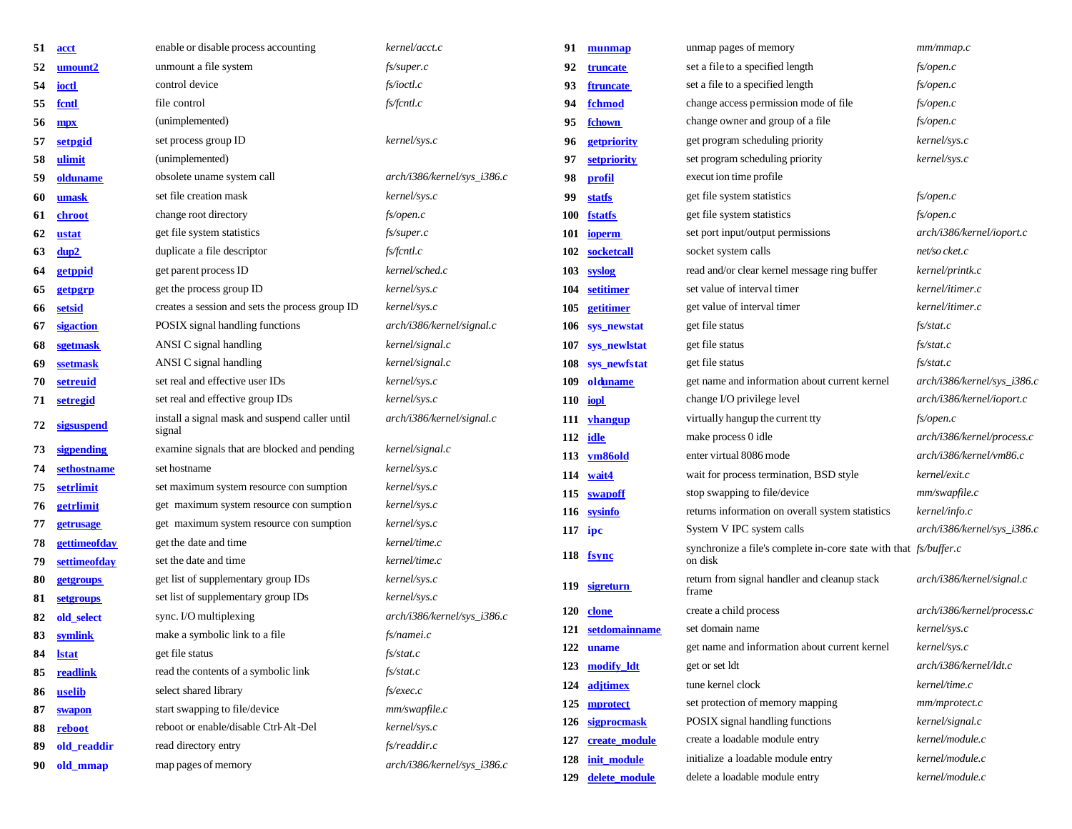| 51 | acct         | enable or disable process accounting                                   | kernel/acct.c                 | 91         | munmap            | unmap pages of memory                                             | mm/mmap.c                   |
|----|--------------|------------------------------------------------------------------------|-------------------------------|------------|-------------------|-------------------------------------------------------------------|-----------------------------|
| 52 | umount2      | unmount a file system                                                  | fs/super.c                    | 92         | <b>truncate</b>   | set a file to a specified length                                  | fs/open.c                   |
| 54 | ioctl        | control device                                                         | fs/ioctl.c                    | 93         | <b>ftruncate</b>  | set a file to a specified length                                  | fs/open.c                   |
| 55 | fcntl        | file control                                                           | fs/fcntl.c                    | 94         | fchmod            | change access permission mode of file                             | fs/open.c                   |
| 56 | <b>mpx</b>   | (unimplemented)                                                        |                               | 95         | fchown            | change owner and group of a file                                  | fs/open.c                   |
| 57 | setpgid      | set process group ID                                                   | kernel/sys.c                  | 96         | getpriority       | get program scheduling priority                                   | kernel/sys.c                |
| 58 | ulimit       | (unimplemented)                                                        |                               | 97         | setpriority       | set program scheduling priority                                   | kernel/sys.c                |
| 59 | olduname     | obsolete uname system call                                             | arch/i386/kernel/sys_i386.c   | 98         | profil            | execut ion time profile                                           |                             |
| 60 | umask        | set file creation mask                                                 | kernel/sys.c                  | 99         | <b>statfs</b>     | get file system statistics                                        | fs/open.c                   |
| 61 | chroot       | change root directory                                                  | fs/open.c                     | <b>100</b> | <b>fstatfs</b>    | get file system statistics                                        | fs/open.c                   |
| 62 | ustat        | get file system statistics                                             | fs/super.c                    | 101        | ioperm            | set port input/output permissions                                 | arch/i386/kernel/ioport.c   |
| 63 | dup2         | duplicate a file descriptor                                            | fs/fcntl.c                    | 102        | socketcall        | socket system calls                                               | net/so cket.c               |
| 64 | getppid      | get parent process ID                                                  | kernel/sched.c                | 103        | syslog            | read and/or clear kernel message ring buffer                      | kernel/printk.c             |
| 65 | getpgrp      | get the process group ID                                               | kernel/sys.c                  | 104        | setitimer         | set value of interval timer                                       | kernel/itimer.c             |
| 66 | setsid       | creates a session and sets the process group ID                        | kernel/sys.c                  | 105        | getitimer         | get value of interval timer                                       | kernel/itimer.c             |
| 67 | sigaction    | POSIX signal handling functions                                        | arch/i386/kernel/signal.c     |            | 106 sys_newstat   | get file status                                                   | fs/stat.c                   |
| 68 | sgetmask     | ANSI C signal handling                                                 | kernel/signal.c               |            | 107 sys_newlstat  | get file status                                                   | fs/stat.c                   |
| 69 | ssetmask     | ANSI C signal handling                                                 | kernel/signal.c               |            | 108 sys_newfstat  | get file status                                                   | fs/stat.c                   |
| 70 | setreuid     | set real and effective user IDs                                        | kernel/sys.c                  | 109        | olduname          | get name and information about current kernel                     | arch/i386/kernel/sys_i386.c |
|    | 71 setregid  | set real and effective group IDs                                       | kernel/sys.c                  |            | $110$ iopl        | change I/O privilege level                                        | arch/i386/kernel/ioport.c   |
| 72 | sigsuspend   | install a signal mask and suspend caller until                         | arch/i386/kernel/signal.c     | 111        | <b>vhangup</b>    | virtually hangup the current tty                                  | fs/open.c                   |
|    |              | signal                                                                 |                               |            | 112 idle          | make process 0 idle                                               | arch/i386/kernel/process.c  |
| 73 | sigpending   | examine signals that are blocked and pending                           | kernel/signal.c               | 113        | vm86old           | enter virtual 8086 mode                                           | arch/i386/kernel/m86.c      |
| 74 | sethostname  | set hostname                                                           | kernel/sys.c                  | 114        | wait4             | wait for process termination, BSD style                           | kernel/exit.c               |
| 75 | setrlimit    | set maximum system resource con sumption                               | kernel/sys.c                  | 115        | swapoff           | stop swapping to file/device                                      | mm/swapfile.c               |
| 76 | getrlimit    | get maximum system resource con sumption                               | kernel/sys.c                  |            | 116 sysinfo       | returns information on overall system statistics                  | kernel/info.c               |
| 77 | getrusage    | get maximum system resource con sumption                               | kernel/sys.c                  | $117$ ipc  |                   | System V IPC system calls                                         | arch/i386/kernel/sys_i386.c |
| 78 | gettimeofday | get the date and time                                                  | kernel/time.c                 |            | 118 fsync         | synchronize a file's complete in-core state with that fs/buffer.c |                             |
| 79 | settimeofday | set the date and time                                                  | kernel/time.c                 |            |                   | on disk                                                           |                             |
| 80 | getgroups    | get list of supplementary group IDs                                    | kernel/sys.c                  | 119        | <u>sigreturn</u>  | return from signal handler and cleanup stack<br>frame             | arch/i386/kernel/signal.c   |
| 81 | setgroups    | set list of supplementary group IDs                                    | kernel/sys.c                  |            | 120 clone         | create a child process                                            | arch/i386/kernel/process.c  |
| 82 | old select   | sync. I/O multiplexing                                                 | arch/i386/kernel/sys_i386.c   |            | 121 setdomainname | set domain name                                                   | kernel/sys.c                |
| 83 | symlink      | make a symbolic link to a file                                         | fs/namei.c                    |            | 122 uname         | get name and information about current kernel                     | kernel/sys.c                |
| 84 | <u>Istat</u> | get file status<br>read the contents of a symbolic link                | fs/stat.c                     |            | 123 modify ldt    | get or set ldt                                                    | arch/i386/kernel/dt.c       |
| 85 | readlink     |                                                                        | fs/stat.c                     |            | 124 adjtimex      | tune kernel clock                                                 | kernel/time.c               |
| 86 | uselib       | select shared library                                                  | $fs/e$ <i>xec.c</i>           | 125        | mprotect          | set protection of memory mapping                                  | mm/mprotect. c              |
| 87 | swapon       | start swapping to file/device<br>reboot or enable/disable Ctrl-Alt-Del | mm/swapfile.c<br>kernel/sys.c | 126        | sigprocmask       | POSIX signal handling functions                                   | kernel/signal.c             |
| 88 | reboot       | read directory entry                                                   | fs/readdir.c                  | 127        | create_module     | create a loadable module entry                                    | kernel/module.c             |
| 89 | old_readdir  |                                                                        |                               | 128        | init_module       | initialize a loadable module entry                                | kernel/module.c             |
|    | 90 old_mmap  | map pages of memory                                                    | arch/i386/kernel/sys_i386.c   |            | 129 delete module | delete a loadable module entry                                    | kernel/module.c             |